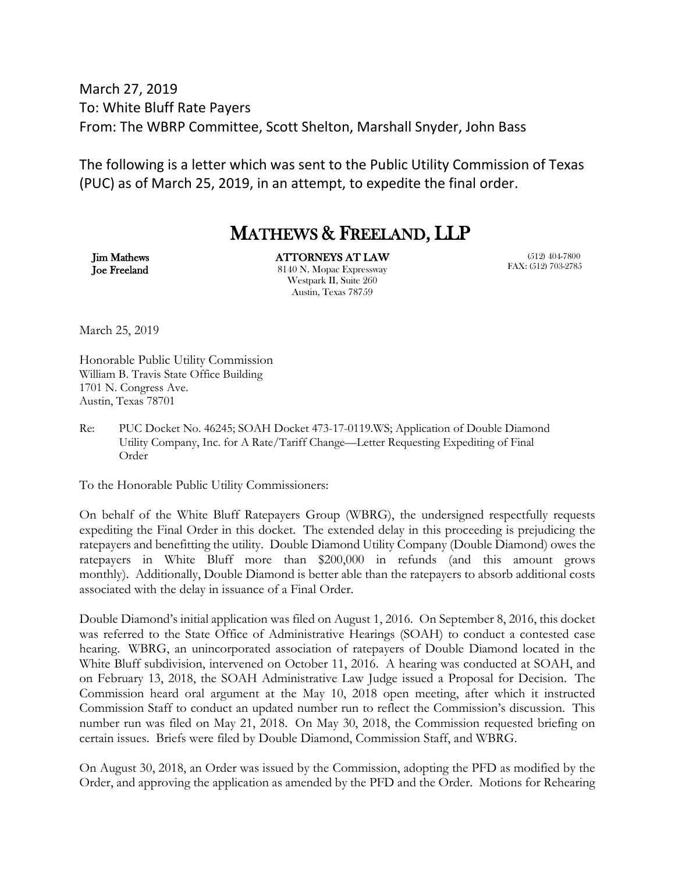March 27, 2019 To: White Bluff Rate Payers From: The WBRP Committee, Scott Shelton, Marshall Snyder, John Bass

The following is a letter which was sent to the Public Utility Commission of Texas (PUC) as of March 25, 2019, in an attempt, to expedite the final order.

## MATHEWS & FREELAND, LLP

Jim Mathews Joe Freeland ATTORNEYS AT LAW 8140 N. Mopac Expressway Westpark II, Suite 260 Austin, Texas 78759

 (512) 404-7800 FAX: (512) 703-2785

March 25, 2019

Honorable Public Utility Commission William B. Travis State Office Building 1701 N. Congress Ave. Austin, Texas 78701

Re: PUC Docket No. 46245; SOAH Docket 473-17-0119.WS; Application of Double Diamond Utility Company, Inc. for A Rate/Tariff Change—Letter Requesting Expediting of Final Order

To the Honorable Public Utility Commissioners:

On behalf of the White Bluff Ratepayers Group (WBRG), the undersigned respectfully requests expediting the Final Order in this docket. The extended delay in this proceeding is prejudicing the ratepayers and benefitting the utility. Double Diamond Utility Company (Double Diamond) owes the ratepayers in White Bluff more than \$200,000 in refunds (and this amount grows monthly). Additionally, Double Diamond is better able than the ratepayers to absorb additional costs associated with the delay in issuance of a Final Order.

Double Diamond's initial application was filed on August 1, 2016. On September 8, 2016, this docket was referred to the State Office of Administrative Hearings (SOAH) to conduct a contested case hearing. WBRG, an unincorporated association of ratepayers of Double Diamond located in the White Bluff subdivision, intervened on October 11, 2016. A hearing was conducted at SOAH, and on February 13, 2018, the SOAH Administrative Law Judge issued a Proposal for Decision. The Commission heard oral argument at the May 10, 2018 open meeting, after which it instructed Commission Staff to conduct an updated number run to reflect the Commission's discussion. This number run was filed on May 21, 2018. On May 30, 2018, the Commission requested briefing on certain issues. Briefs were filed by Double Diamond, Commission Staff, and WBRG.

On August 30, 2018, an Order was issued by the Commission, adopting the PFD as modified by the Order, and approving the application as amended by the PFD and the Order. Motions for Rehearing